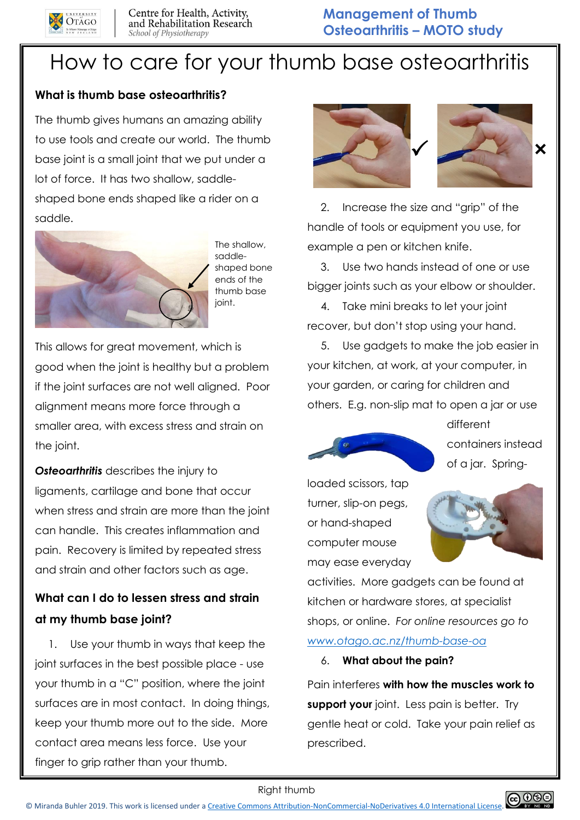

# How to care for your thumb base osteoarthritis

## **What is thumb base osteoarthritis?**

The thumb gives humans an amazing ability to use tools and create our world. The thumb base joint is a small joint that we put under a lot of force. It has two shallow, saddleshaped bone ends shaped like a rider on a saddle.



The shallow, saddleshaped bone ends of the thumb base joint.

This allows for great movement, which is good when the joint is healthy but a problem if the joint surfaces are not well aligned. Poor alignment means more force through a smaller area, with excess stress and strain on the joint.

*Osteoarthritis* describes the injury to ligaments, cartilage and bone that occur when stress and strain are more than the joint can handle. This creates inflammation and pain. Recovery is limited by repeated stress and strain and other factors such as age.

# **What can I do to lessen stress and strain at my thumb base joint?**

1. Use your thumb in ways that keep the joint surfaces in the best possible place - use your thumb in a "C" position, where the joint surfaces are in most contact. In doing things, keep your thumb more out to the side. More contact area means less force. Use your finger to grip rather than your thumb.



2. Increase the size and "grip" of the handle of tools or equipment you use, for example a pen or kitchen knife.

3. Use two hands instead of one or use bigger joints such as your elbow or shoulder.

4. Take mini breaks to let your joint recover, but don't stop using your hand.

5. Use gadgets to make the job easier in your kitchen, at work, at your computer, in your garden, or caring for children and others. E.g. non-slip mat to open a jar or use



different containers instead of a jar. Spring-

loaded scissors, tap turner, slip-on pegs, or hand-shaped computer mouse may ease everyday



activities. More gadgets can be found at kitchen or hardware stores, at specialist shops, or online. *For online resources go to [www.otago.ac.nz/thumb-base-oa](http://www.otago.ac.nz/thumb-base-oa)*

#### 6. **What about the pain?**

Pain interferes **with how the muscles work to support your** joint. Less pain is better. Try gentle heat or cold. Take your pain relief as prescribed.

Right thumb